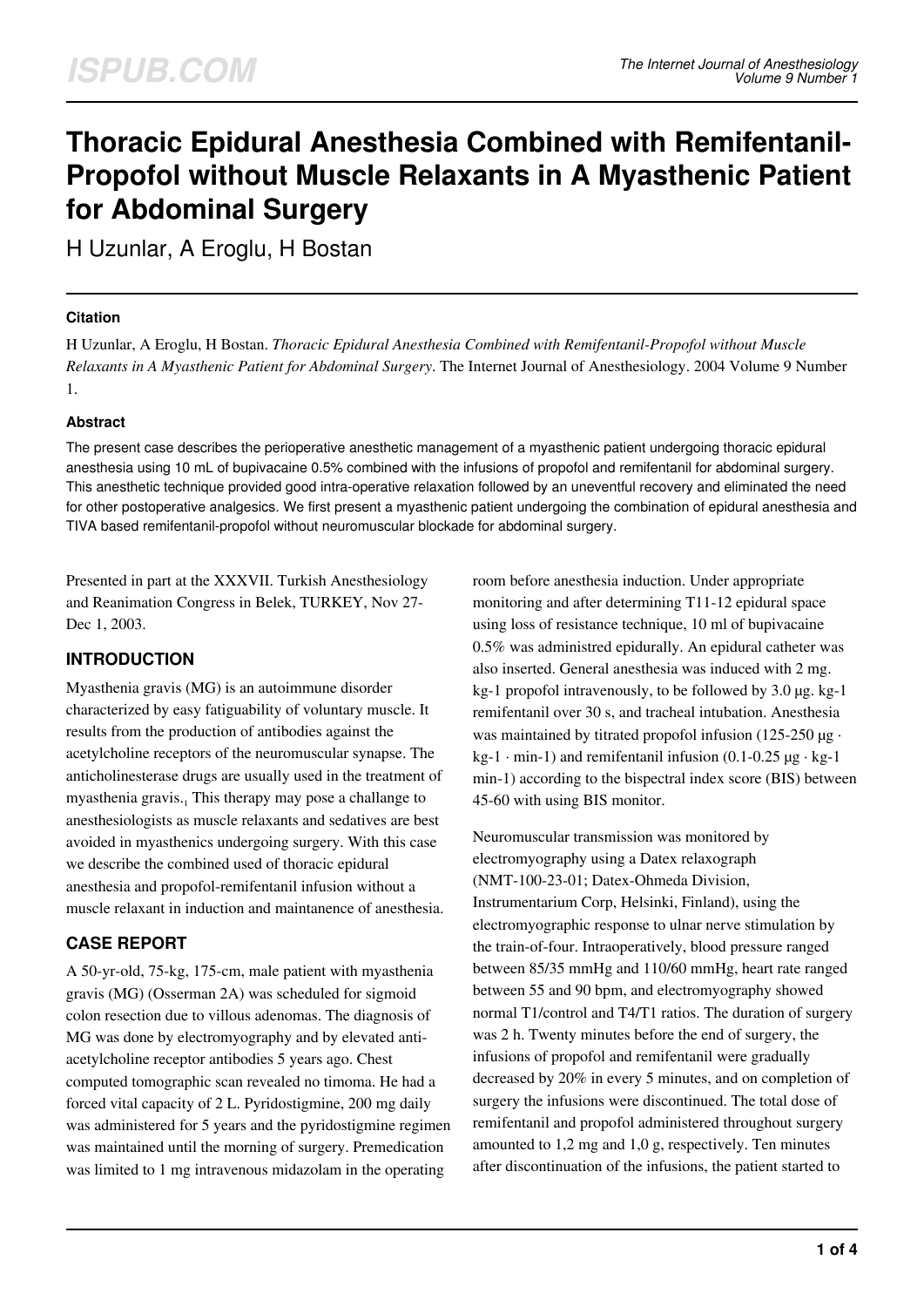# **Thoracic Epidural Anesthesia Combined with Remifentanil-Propofol without Muscle Relaxants in A Myasthenic Patient for Abdominal Surgery**

H Uzunlar, A Eroglu, H Bostan

### **Citation**

H Uzunlar, A Eroglu, H Bostan. *Thoracic Epidural Anesthesia Combined with Remifentanil-Propofol without Muscle Relaxants in A Myasthenic Patient for Abdominal Surgery*. The Internet Journal of Anesthesiology. 2004 Volume 9 Number 1.

### **Abstract**

The present case describes the perioperative anesthetic management of a myasthenic patient undergoing thoracic epidural anesthesia using 10 mL of bupivacaine 0.5% combined with the infusions of propofol and remifentanil for abdominal surgery. This anesthetic technique provided good intra-operative relaxation followed by an uneventful recovery and eliminated the need for other postoperative analgesics. We first present a myasthenic patient undergoing the combination of epidural anesthesia and TIVA based remifentanil-propofol without neuromuscular blockade for abdominal surgery.

Presented in part at the XXXVII. Turkish Anesthesiology and Reanimation Congress in Belek, TURKEY, Nov 27- Dec 1, 2003.

### **INTRODUCTION**

Myasthenia gravis (MG) is an autoimmune disorder characterized by easy fatiguability of voluntary muscle. It results from the production of antibodies against the acetylcholine receptors of the neuromuscular synapse. The anticholinesterase drugs are usually used in the treatment of myasthenia gravis.<sub>1</sub> This therapy may pose a challange to anesthesiologists as muscle relaxants and sedatives are best avoided in myasthenics undergoing surgery. With this case we describe the combined used of thoracic epidural anesthesia and propofol-remifentanil infusion without a muscle relaxant in induction and maintanence of anesthesia.

### **CASE REPORT**

A 50-yr-old, 75-kg, 175-cm, male patient with myasthenia gravis (MG) (Osserman 2A) was scheduled for sigmoid colon resection due to villous adenomas. The diagnosis of MG was done by electromyography and by elevated antiacetylcholine receptor antibodies 5 years ago. Chest computed tomographic scan revealed no timoma. He had a forced vital capacity of 2 L. Pyridostigmine, 200 mg daily was administered for 5 years and the pyridostigmine regimen was maintained until the morning of surgery. Premedication was limited to 1 mg intravenous midazolam in the operating

room before anesthesia induction. Under appropriate monitoring and after determining T11-12 epidural space using loss of resistance technique, 10 ml of bupivacaine 0.5% was administred epidurally. An epidural catheter was also inserted. General anesthesia was induced with 2 mg. kg-1 propofol intravenously, to be followed by 3.0 µg. kg-1 remifentanil over 30 s, and tracheal intubation. Anesthesia was maintained by titrated propofol infusion (125-250  $\mu$ g ·  $kg-1 \cdot min-1$ ) and remifentanil infusion (0.1-0.25  $\mu$ g · kg-1 min-1) according to the bispectral index score (BIS) between 45-60 with using BIS monitor.

Neuromuscular transmission was monitored by electromyography using a Datex relaxograph (NMT-100-23-01; Datex-Ohmeda Division, Instrumentarium Corp, Helsinki, Finland), using the electromyographic response to ulnar nerve stimulation by the train-of-four. Intraoperatively, blood pressure ranged between 85/35 mmHg and 110/60 mmHg, heart rate ranged between 55 and 90 bpm, and electromyography showed normal T1/control and T4/T1 ratios. The duration of surgery was 2 h. Twenty minutes before the end of surgery, the infusions of propofol and remifentanil were gradually decreased by 20% in every 5 minutes, and on completion of surgery the infusions were discontinued. The total dose of remifentanil and propofol administered throughout surgery amounted to 1,2 mg and 1,0 g, respectively. Ten minutes after discontinuation of the infusions, the patient started to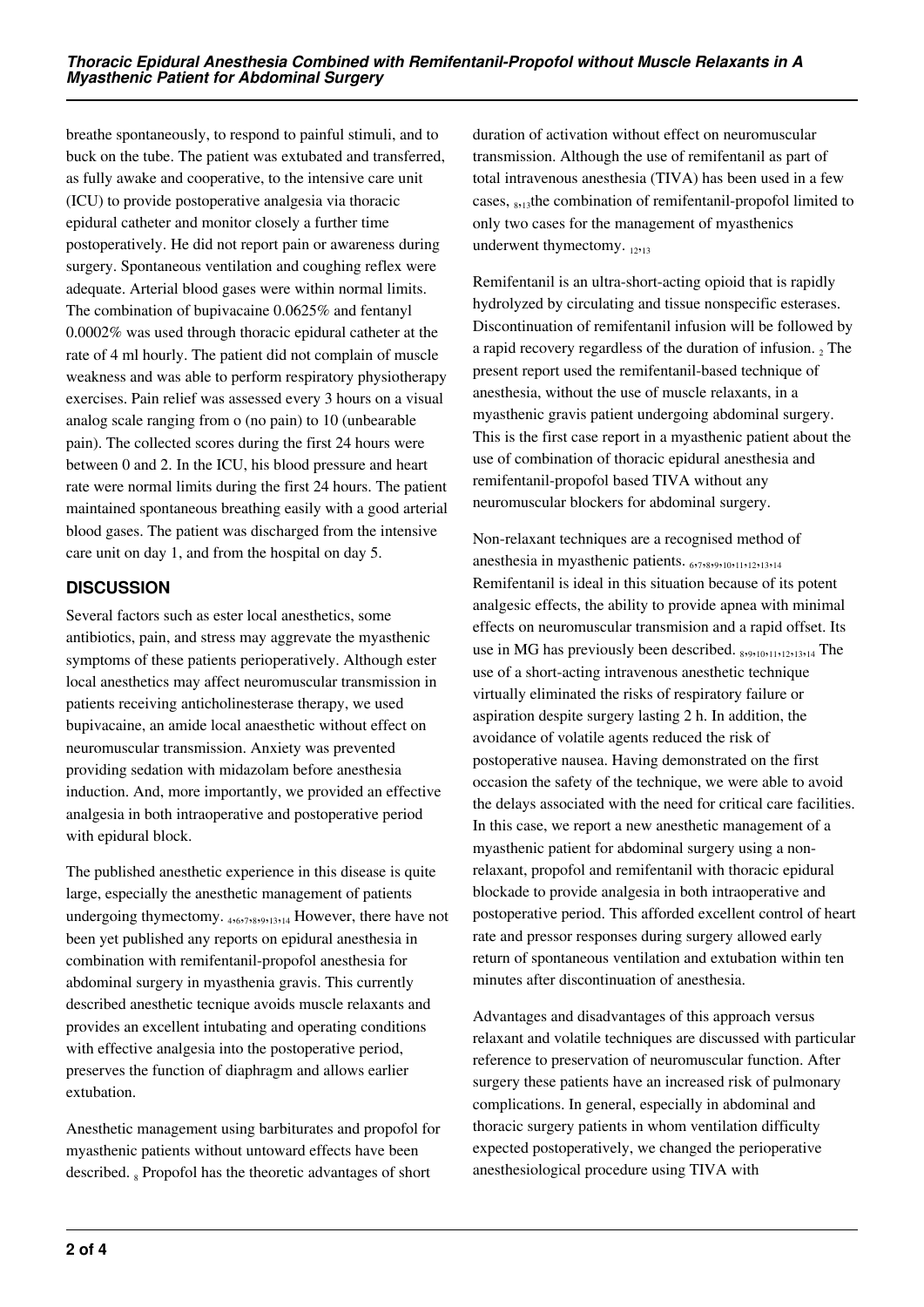breathe spontaneously, to respond to painful stimuli, and to buck on the tube. The patient was extubated and transferred, as fully awake and cooperative, to the intensive care unit (ICU) to provide postoperative analgesia via thoracic epidural catheter and monitor closely a further time postoperatively. He did not report pain or awareness during surgery. Spontaneous ventilation and coughing reflex were adequate. Arterial blood gases were within normal limits. The combination of bupivacaine 0.0625% and fentanyl 0.0002% was used through thoracic epidural catheter at the rate of 4 ml hourly. The patient did not complain of muscle weakness and was able to perform respiratory physiotherapy exercises. Pain relief was assessed every 3 hours on a visual analog scale ranging from o (no pain) to 10 (unbearable pain). The collected scores during the first 24 hours were between 0 and 2. In the ICU, his blood pressure and heart rate were normal limits during the first 24 hours. The patient maintained spontaneous breathing easily with a good arterial blood gases. The patient was discharged from the intensive care unit on day 1, and from the hospital on day 5.

## **DISCUSSION**

Several factors such as ester local anesthetics, some antibiotics, pain, and stress may aggrevate the myasthenic symptoms of these patients perioperatively. Although ester local anesthetics may affect neuromuscular transmission in patients receiving anticholinesterase therapy, we used bupivacaine, an amide local anaesthetic without effect on neuromuscular transmission. Anxiety was prevented providing sedation with midazolam before anesthesia induction. And, more importantly, we provided an effective analgesia in both intraoperative and postoperative period with epidural block.

The published anesthetic experience in this disease is quite large, especially the anesthetic management of patients undergoing thymectomy.  $_{4,6,7,8,9,13,14}$  However, there have not been yet published any reports on epidural anesthesia in combination with remifentanil-propofol anesthesia for abdominal surgery in myasthenia gravis. This currently described anesthetic tecnique avoids muscle relaxants and provides an excellent intubating and operating conditions with effective analgesia into the postoperative period, preserves the function of diaphragm and allows earlier extubation.

Anesthetic management using barbiturates and propofol for myasthenic patients without untoward effects have been described. 8 Propofol has the theoretic advantages of short

duration of activation without effect on neuromuscular transmission. Although the use of remifentanil as part of total intravenous anesthesia (TIVA) has been used in a few cases, <sub>8,13</sub>the combination of remifentanil-propofol limited to only two cases for the management of myasthenics underwent thymectomy.  $_{12,13}$ 

Remifentanil is an ultra-short-acting opioid that is rapidly hydrolyzed by circulating and tissue nonspecific esterases. Discontinuation of remifentanil infusion will be followed by a rapid recovery regardless of the duration of infusion.  $_2$  The present report used the remifentanil-based technique of anesthesia, without the use of muscle relaxants, in a myasthenic gravis patient undergoing abdominal surgery. This is the first case report in a myasthenic patient about the use of combination of thoracic epidural anesthesia and remifentanil-propofol based TIVA without any neuromuscular blockers for abdominal surgery.

Non-relaxant techniques are a recognised method of anesthesia in myasthenic patients. 6,7,8,9,9,10,11,12,13,14 Remifentanil is ideal in this situation because of its potent analgesic effects, the ability to provide apnea with minimal effects on neuromuscular transmision and a rapid offset. Its use in MG has previously been described. 8,9,10,11,12,13,14 The use of a short-acting intravenous anesthetic technique virtually eliminated the risks of respiratory failure or aspiration despite surgery lasting 2 h. In addition, the avoidance of volatile agents reduced the risk of postoperative nausea. Having demonstrated on the first occasion the safety of the technique, we were able to avoid the delays associated with the need for critical care facilities. In this case, we report a new anesthetic management of a myasthenic patient for abdominal surgery using a nonrelaxant, propofol and remifentanil with thoracic epidural blockade to provide analgesia in both intraoperative and postoperative period. This afforded excellent control of heart rate and pressor responses during surgery allowed early return of spontaneous ventilation and extubation within ten minutes after discontinuation of anesthesia.

Advantages and disadvantages of this approach versus relaxant and volatile techniques are discussed with particular reference to preservation of neuromuscular function. After surgery these patients have an increased risk of pulmonary complications. In general, especially in abdominal and thoracic surgery patients in whom ventilation difficulty expected postoperatively, we changed the perioperative anesthesiological procedure using TIVA with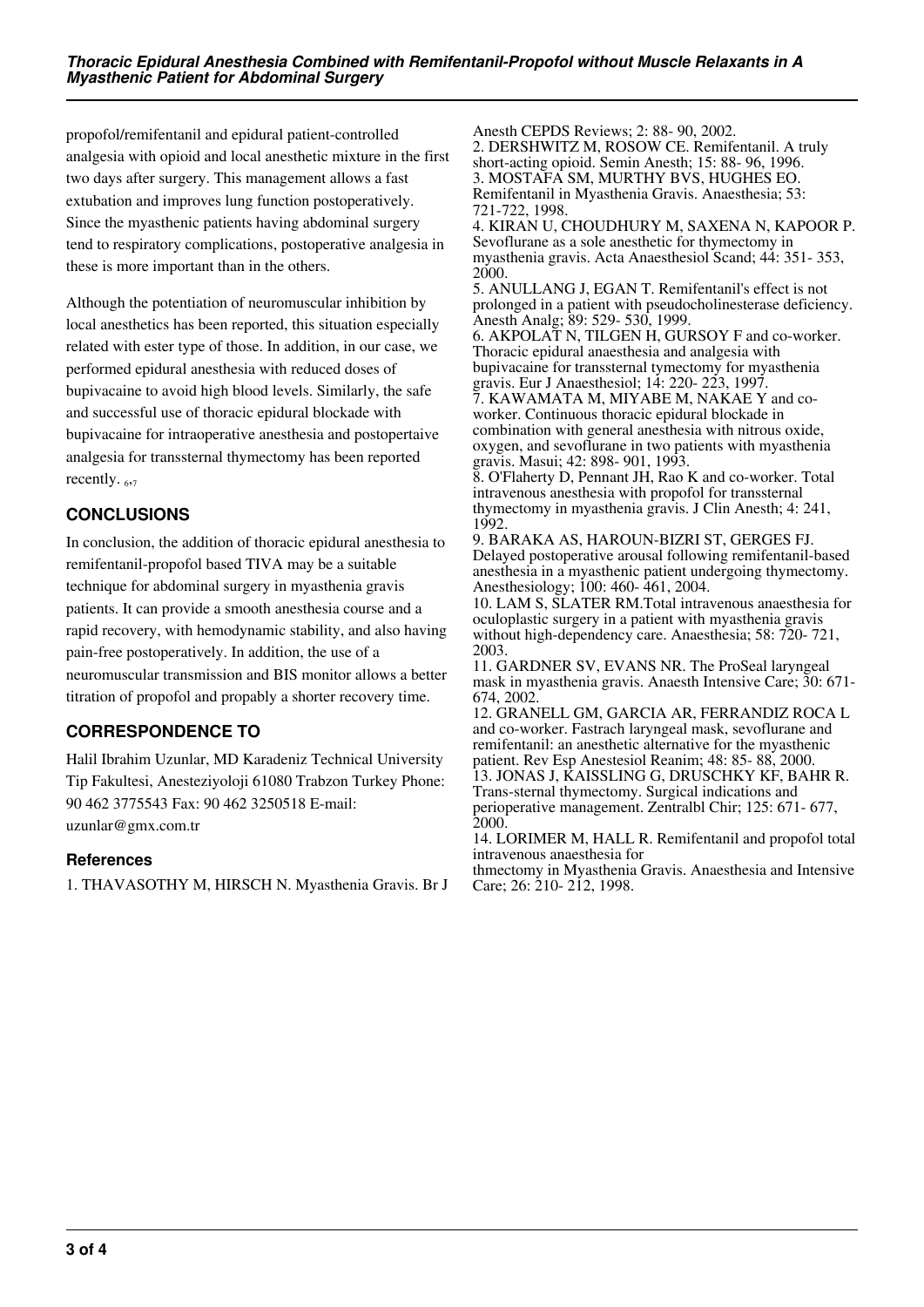propofol/remifentanil and epidural patient-controlled analgesia with opioid and local anesthetic mixture in the first two days after surgery. This management allows a fast extubation and improves lung function postoperatively. Since the myasthenic patients having abdominal surgery tend to respiratory complications, postoperative analgesia in these is more important than in the others.

Although the potentiation of neuromuscular inhibition by local anesthetics has been reported, this situation especially related with ester type of those. In addition, in our case, we performed epidural anesthesia with reduced doses of bupivacaine to avoid high blood levels. Similarly, the safe and successful use of thoracic epidural blockade with bupivacaine for intraoperative anesthesia and postopertaive analgesia for transsternal thymectomy has been reported recently.  $_{6,7}$ 

## **CONCLUSIONS**

In conclusion, the addition of thoracic epidural anesthesia to remifentanil-propofol based TIVA may be a suitable technique for abdominal surgery in myasthenia gravis patients. It can provide a smooth anesthesia course and a rapid recovery, with hemodynamic stability, and also having pain-free postoperatively. In addition, the use of a neuromuscular transmission and BIS monitor allows a better titration of propofol and propably a shorter recovery time.

# **CORRESPONDENCE TO**

Halil Ibrahim Uzunlar, MD Karadeniz Technical University Tip Fakultesi, Anesteziyoloji 61080 Trabzon Turkey Phone: 90 462 3775543 Fax: 90 462 3250518 E-mail: uzunlar@gmx.com.tr

### **References**

1. THAVASOTHY M, HIRSCH N. Myasthenia Gravis. Br J

Anesth CEPDS Reviews; 2: 88- 90, 2002. 2. DERSHWITZ M, ROSOW CE. Remifentanil. A truly short-acting opioid. Semin Anesth; 15: 88- 96, 1996. 3. MOSTAFA SM, MURTHY BVS, HUGHES EO. Remifentanil in Myasthenia Gravis. Anaesthesia; 53: 721-722, 1998.

4. KIRAN U, CHOUDHURY M, SAXENA N, KAPOOR P. Sevoflurane as a sole anesthetic for thymectomy in myasthenia gravis. Acta Anaesthesiol Scand; 44: 351- 353, 2000.

5. ANULLANG J, EGAN T. Remifentanil's effect is not prolonged in a patient with pseudocholinesterase deficiency. Anesth Analg; 89: 529- 530, 1999.

6. AKPOLAT N, TILGEN H, GURSOY F and co-worker. Thoracic epidural anaesthesia and analgesia with bupivacaine for transsternal tymectomy for myasthenia gravis. Eur J Anaesthesiol; 14: 220- 223, 1997.

7. KAWAMATA M, MIYABE M, NAKAE Y and coworker. Continuous thoracic epidural blockade in combination with general anesthesia with nitrous oxide, oxygen, and sevoflurane in two patients with myasthenia gravis. Masui; 42: 898- 901, 1993.

8. O'Flaherty D, Pennant JH, Rao K and co-worker. Total intravenous anesthesia with propofol for transsternal thymectomy in myasthenia gravis. J Clin Anesth; 4: 241, 1992.

9. BARAKA AS, HAROUN-BIZRI ST, GERGES FJ. Delayed postoperative arousal following remifentanil-based anesthesia in a myasthenic patient undergoing thymectomy. Anesthesiology; 100: 460- 461, 2004.

10. LAM S, SLATER RM.Total intravenous anaesthesia for oculoplastic surgery in a patient with myasthenia gravis without high-dependency care. Anaesthesia; 58: 720- 721, 2003.

11. GARDNER SV, EVANS NR. The ProSeal laryngeal mask in myasthenia gravis. Anaesth Intensive Care; 30: 671- 674, 2002.

12. GRANELL GM, GARCIA AR, FERRANDIZ ROCA L and co-worker. Fastrach laryngeal mask, sevoflurane and remifentanil: an anesthetic alternative for the myasthenic patient. Rev Esp Anestesiol Reanim; 48: 85- 88, 2000. 13. JONAS J, KAISSLING G, DRUSCHKY KF, BAHR R. Trans-sternal thymectomy. Surgical indications and perioperative management. Zentralbl Chir; 125: 671- 677, 2000.

14. LORIMER M, HALL R. Remifentanil and propofol total intravenous anaesthesia for

thmectomy in Myasthenia Gravis. Anaesthesia and Intensive Care; 26: 210- 212, 1998.